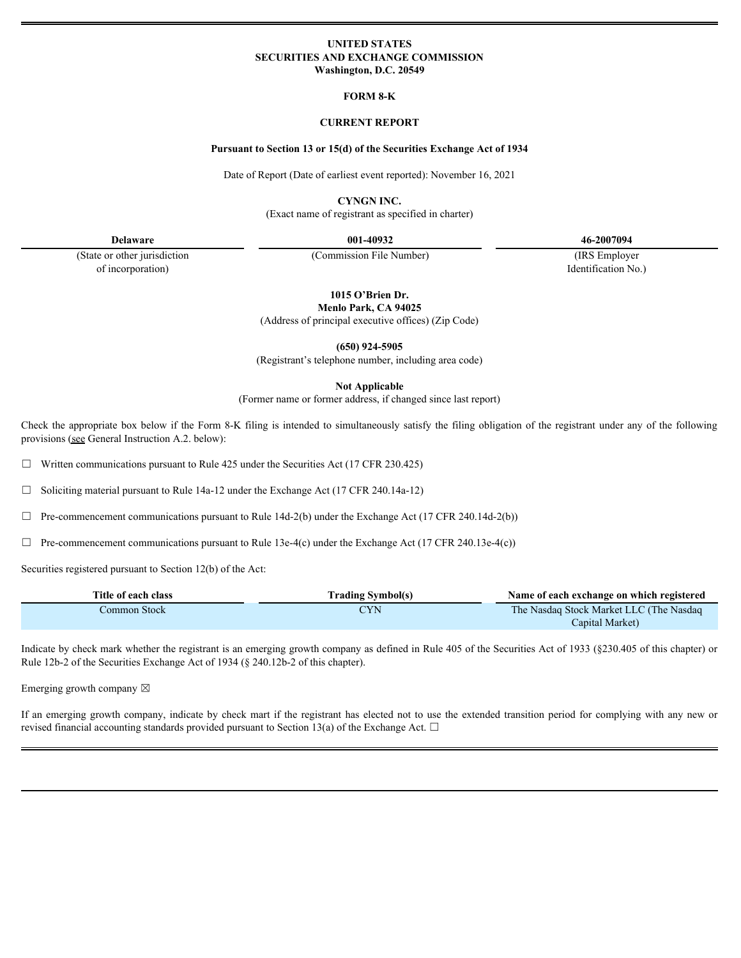### **UNITED STATES SECURITIES AND EXCHANGE COMMISSION Washington, D.C. 20549**

**FORM 8-K**

### **CURRENT REPORT**

#### **Pursuant to Section 13 or 15(d) of the Securities Exchange Act of 1934**

Date of Report (Date of earliest event reported): November 16, 2021

**CYNGN INC.**

(Exact name of registrant as specified in charter)

of incorporation) Identification No.)

(State or other jurisdiction (Commission File Number) (IRS Employer

**Delaware 001-40932 46-2007094**

**1015 O'Brien Dr. Menlo Park, CA 94025**

|                                                                                                                                                                                                                                                                      | (Address of principal executive offices) (Zip Code)                                    |                                                            |  |
|----------------------------------------------------------------------------------------------------------------------------------------------------------------------------------------------------------------------------------------------------------------------|----------------------------------------------------------------------------------------|------------------------------------------------------------|--|
|                                                                                                                                                                                                                                                                      | $(650)$ 924-5905<br>(Registrant's telephone number, including area code)               |                                                            |  |
|                                                                                                                                                                                                                                                                      | <b>Not Applicable</b><br>(Former name or former address, if changed since last report) |                                                            |  |
| Check the appropriate box below if the Form 8-K filing is intended to simultaneously satisfy the filing obligation of the registrant under any of the following<br>provisions (see General Instruction A.2. below):                                                  |                                                                                        |                                                            |  |
| $\Box$ Written communications pursuant to Rule 425 under the Securities Act (17 CFR 230.425)                                                                                                                                                                         |                                                                                        |                                                            |  |
| $\Box$ Soliciting material pursuant to Rule 14a-12 under the Exchange Act (17 CFR 240.14a-12)                                                                                                                                                                        |                                                                                        |                                                            |  |
| $\Box$ Pre-commencement communications pursuant to Rule 14d-2(b) under the Exchange Act (17 CFR 240.14d-2(b))                                                                                                                                                        |                                                                                        |                                                            |  |
| $\Box$ Pre-commencement communications pursuant to Rule 13e-4(c) under the Exchange Act (17 CFR 240.13e-4(c))                                                                                                                                                        |                                                                                        |                                                            |  |
|                                                                                                                                                                                                                                                                      |                                                                                        |                                                            |  |
| Securities registered pursuant to Section 12(b) of the Act:                                                                                                                                                                                                          |                                                                                        |                                                            |  |
| Title of each class                                                                                                                                                                                                                                                  | <b>Trading Symbol(s)</b>                                                               | Name of each exchange on which registered                  |  |
| Common Stock                                                                                                                                                                                                                                                         | <b>CYN</b>                                                                             | The Nasdaq Stock Market LLC (The Nasdaq<br>Capital Market) |  |
| Indicate by check mark whether the registrant is an emerging growth company as defined in Rule 405 of the Securities Act of 1933 (§230.405 of this chapter) or<br>Rule 12b-2 of the Securities Exchange Act of 1934 (§ 240.12b-2 of this chapter).                   |                                                                                        |                                                            |  |
| Emerging growth company $\boxtimes$                                                                                                                                                                                                                                  |                                                                                        |                                                            |  |
| If an emerging growth company, indicate by check mart if the registrant has elected not to use the extended transition period for complying with any new or<br>revised financial accounting standards provided pursuant to Section 13(a) of the Exchange Act. $\Box$ |                                                                                        |                                                            |  |
|                                                                                                                                                                                                                                                                      |                                                                                        |                                                            |  |
|                                                                                                                                                                                                                                                                      |                                                                                        |                                                            |  |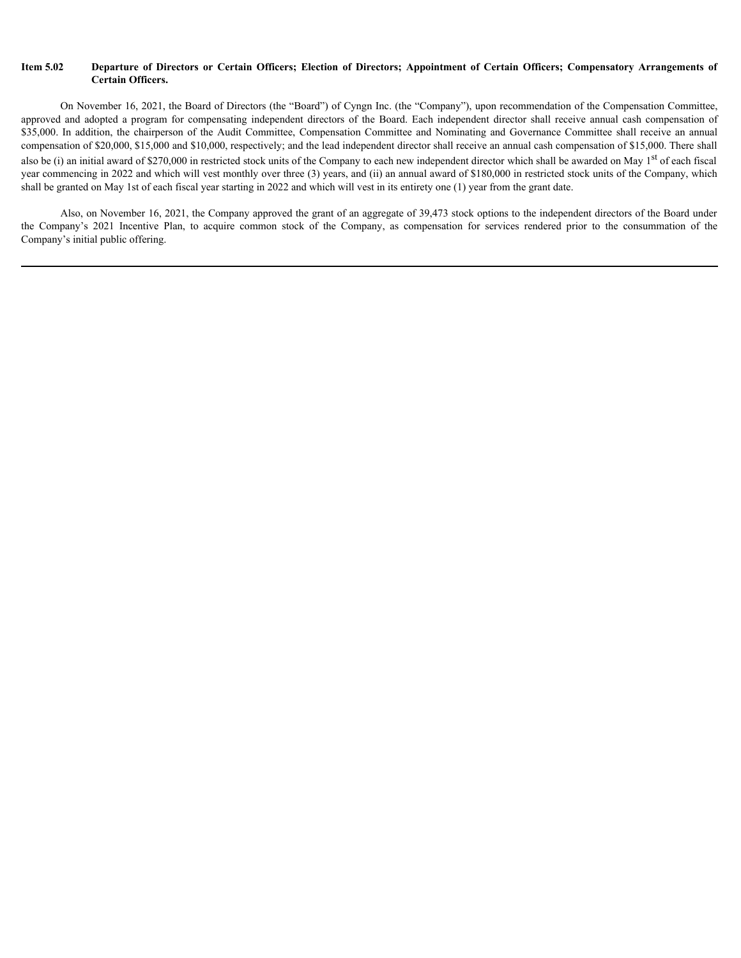# **Certain Officers.**

**Item 5.02 Departure of Directors or Certain Officers; Election of Directors; Appointment of Certain Officers; Compensatory Arrangements of Certain Officers.<br>
On November 16, 2021, the Board of Directors (the "Board") of** On November 16, 2021, the Board of Directors (the "Board") of Cyngn Inc. (the "Company"), upon recommendation of the Compensation Committee, approved and adopted a program for compensating independent directors of the Boar **Exercise 2020 Exercise of Directors or Certain Officers; Election of Directors; Appointment of Certain Officers; Compensatory Arrangements of<br>
On November 16, 2021, the Board of Directors (the "Board") of Cyngn Inc. (th Item 5.02 Departure of Directors or Certain Officers;** Election of Directors; Appointment of Certain Officers; Compensatory Arrangements of Certain Officers.<br>
On November 16, 2021, the Board of Directors (the "Board") compensation of \$20,000, \$15,000 and \$10,000, respectively; and the lead independent director shall receive an annual cash compensation of \$15,000. There shall also be (i) an initial award of \$270,000 in restricted stock units of the Company to each new independent director which shall be awarded on May  $1<sup>st</sup>$  of each fiscal year commencing in 2022 and which will vest monthly over three (3) years, and (ii) an annual award of \$180,000 in restricted stock units of the Company, which shall be granted on May 1st of each fiscal year starting in 2022 and which will vest in its entirety one (1) year from the grant date. Item 5.02 Departure of Directors or Certain Officers; Election of Directors; Appointment of Certain Officers; Compensatory Arrangements of<br>Certain Officers,<br>deeproof and dopped a program for compensation of Directors (the

Also, on November 16, 2021, the Company approved the grant of an aggregate of 39,473 stock options to the independent directors of the Board under the Company's 2021 Incentive Plan, to acquire common stock of the Company, Company's initial public offering.